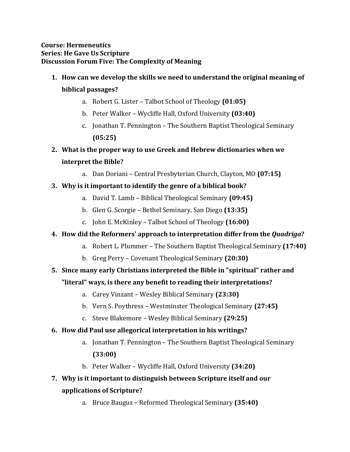#### **Course: Hermeneutics Series: He Gave Us Scripture Discussion Forum Five: The Complexity of Meaning**

# **1. How can we develop the skills we need to understand the original meaning of biblical passages?**

- a. Robert G. Lister Talbot School of Theology **(01:05)**
- b. Peter Walker Wycliffe Hall, Oxford University **(03:40)**
- c. Jonathan T. Pennington The Southern Baptist Theological Seminary **(05:25)**
- **2. What is the proper way to use Greek and Hebrew dictionaries when we interpret the Bible?** 
	- a. Dan Doriani Central Presbyterian Church, Clayton, MO **(07:15)**

### **3. Why is it important to identify the genre of a biblical book?**

- a. David T. Lamb Biblical Theological Seminary **(09:45)**
- b. Glen G. Scorgie Bethel Seminary, San Diego **(13:35)**
- c. John E. McKinley Talbot School of Theology **(16:00)**

### **4. How did the Reformers' approach to interpretation differ from the** *Quadriga***?**

- a. Robert L. Plummer The Southern Baptist Theological Seminary **(17:40)**
- b. Greg Perry Covenant Theological Seminary **(20:30)**

### **5. Since many early Christians interpreted the Bible in "spiritual" rather and**

### **"literal" ways, is there any benefit to reading their interpretations?**

- a. Carey Vinzant Wesley Biblical Seminary **(23:30)**
- b. Vern S. Poythress Westminster Theological Seminary **(27:45)**
- c. Steve Blakemore Wesley Biblical Seminary **(29:25)**

### **6. How did Paul use allegorical interpretation in his writings?**

- a. Jonathan T. Pennington The Southern Baptist Theological Seminary **(33:00)**
- b. Peter Walker Wycliffe Hall, Oxford University **(34:20)**

# **7. Why is it important to distinguish between Scripture itself and our applications of Scripture?**

a. Bruce Baugus – Reformed Theological Seminary **(35:40)**